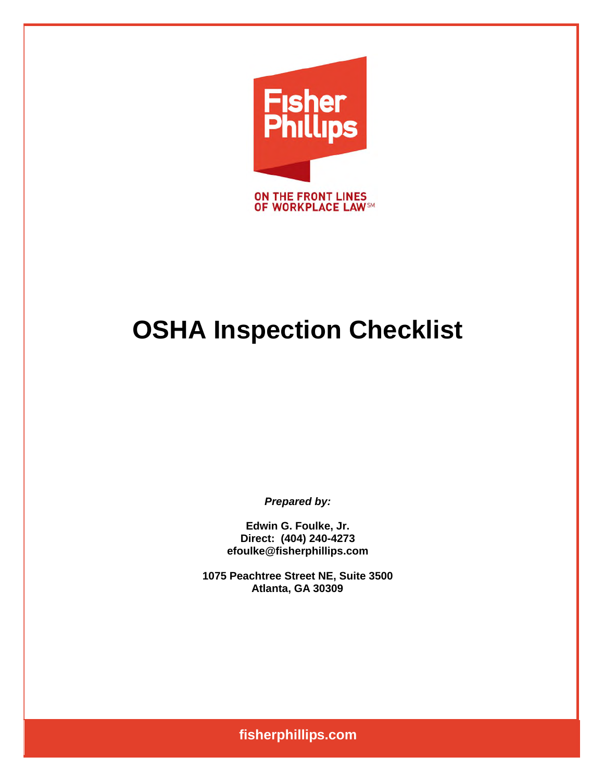

# **OSHA Inspection Checklist**

**Prepared by:** 

Edwin G. Foulke, Jr. Direct: (404) 240-4273 efoulke@fisherphillips.com

1075 Peachtree Street NE, Suite 3500 Atlanta, GA 30309

fisherphillips.com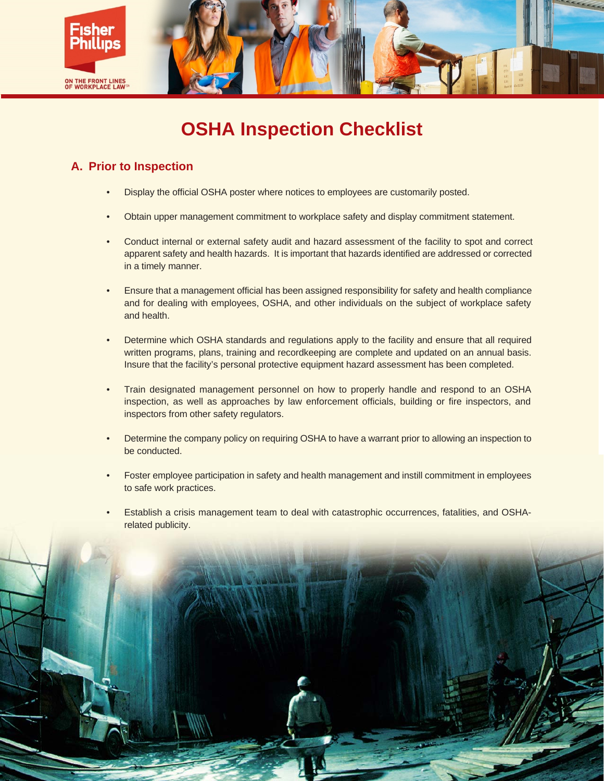

# **OSHA Inspection Checklist**

# A. Prior to Inspection

- Display the official OSHA poster where notices to employees are customarily posted.
- Obtain upper management commitment to workplace safety and display commitment statement.
- Conduct internal or external safety audit and hazard assessment of the facility to spot and correct  $\bullet$ apparent safety and health hazards. It is important that hazards identified are addressed or corrected in a timely manner.
- $\bullet$ Ensure that a management official has been assigned responsibility for safety and health compliance and for dealing with employees, OSHA, and other individuals on the subject of workplace safety and health.
- Determine which OSHA standards and regulations apply to the facility and ensure that all required  $\bullet$ written programs, plans, training and recordkeeping are complete and updated on an annual basis. Insure that the facility's personal protective equipment hazard assessment has been completed.
- Train designated management personnel on how to properly handle and respond to an OSHA inspection, as well as approaches by law enforcement officials, building or fire inspectors, and inspectors from other safety regulators.
- Determine the company policy on requiring OSHA to have a warrant prior to allowing an inspection to be conducted.
- $\bullet$ Foster employee participation in safety and health management and instill commitment in employees to safe work practices.
- Establish a crisis management team to deal with catastrophic occurrences, fatalities, and OSHArelated publicity.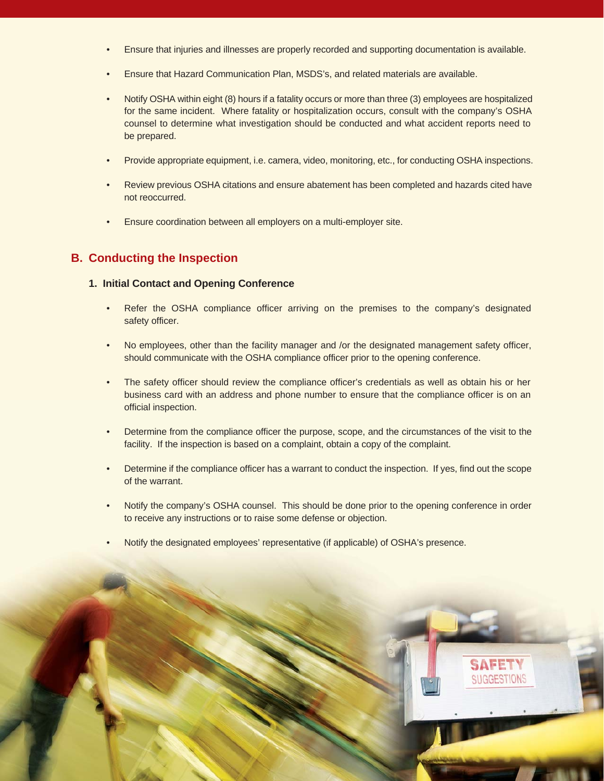- Ensure that injuries and illnesses are properly recorded and supporting documentation is available.
- Ensure that Hazard Communication Plan, MSDS's, and related materials are available.  $\bullet$
- Notify OSHA within eight (8) hours if a fatality occurs or more than three (3) employees are hospitalized for the same incident. Where fatality or hospitalization occurs, consult with the company's OSHA counsel to determine what investigation should be conducted and what accident reports need to be prepared.
- Provide appropriate equipment, i.e. camera, video, monitoring, etc., for conducting OSHA inspections.
- Review previous OSHA citations and ensure abatement has been completed and hazards cited have not reoccurred.
- Ensure coordination between all employers on a multi-employer site.  $\bullet$

### **B. Conducting the Inspection**

#### 1. Initial Contact and Opening Conference

- Refer the OSHA compliance officer arriving on the premises to the company's designated  $\bullet$ safety officer.
- No employees, other than the facility manager and /or the designated management safety officer, should communicate with the OSHA compliance officer prior to the opening conference.
- The safety officer should review the compliance officer's credentials as well as obtain his or her business card with an address and phone number to ensure that the compliance officer is on an official inspection.
- $\bullet$ Determine from the compliance officer the purpose, scope, and the circumstances of the visit to the facility. If the inspection is based on a complaint, obtain a copy of the complaint.
- Determine if the compliance officer has a warrant to conduct the inspection. If yes, find out the scope of the warrant.
- Notify the company's OSHA counsel. This should be done prior to the opening conference in order  $\bullet$  . to receive any instructions or to raise some defense or objection.
- Notify the designated employees' representative (if applicable) of OSHA's presence.

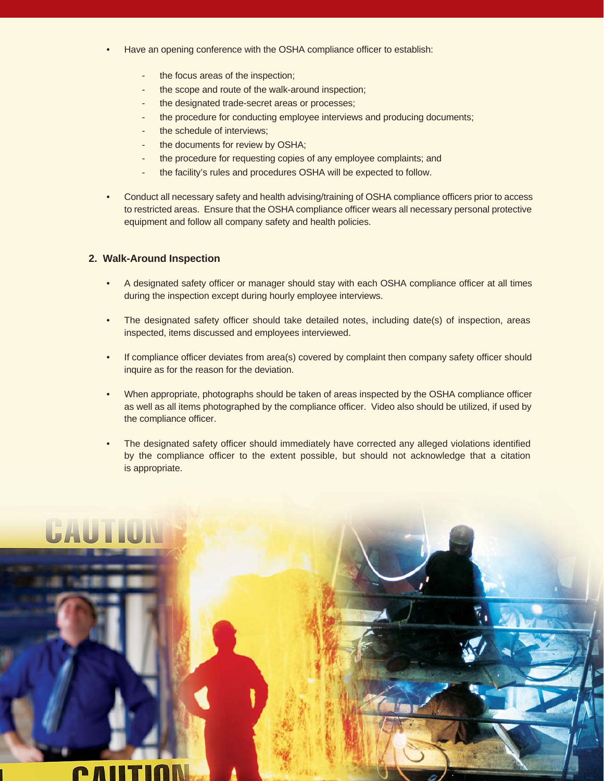- Have an opening conference with the OSHA compliance officer to establish:
	- the focus areas of the inspection;
	- the scope and route of the walk-around inspection;
	- the designated trade-secret areas or processes;
	- the procedure for conducting employee interviews and producing documents;
	- the schedule of interviews;
	- the documents for review by OSHA;
	- the procedure for requesting copies of any employee complaints; and
	- the facility's rules and procedures OSHA will be expected to follow.
- Conduct all necessary safety and health advising/training of OSHA compliance officers prior to access to restricted areas. Ensure that the OSHA compliance officer wears all necessary personal protective equipment and follow all company safety and health policies.

#### 2. Walk-Around Inspection

- $\bullet$ A designated safety officer or manager should stay with each OSHA compliance officer at all times during the inspection except during hourly employee interviews.
- The designated safety officer should take detailed notes, including date(s) of inspection, areas  $\bullet$ inspected, items discussed and employees interviewed.
- If compliance officer deviates from area(s) covered by complaint then company safety officer should  $\bullet$ inquire as for the reason for the deviation.
- When appropriate, photographs should be taken of areas inspected by the OSHA compliance officer  $\bullet$ as well as all items photographed by the compliance officer. Video also should be utilized, if used by the compliance officer.
- $\bullet$ The designated safety officer should immediately have corrected any alleged violations identified by the compliance officer to the extent possible, but should not acknowledge that a citation is appropriate.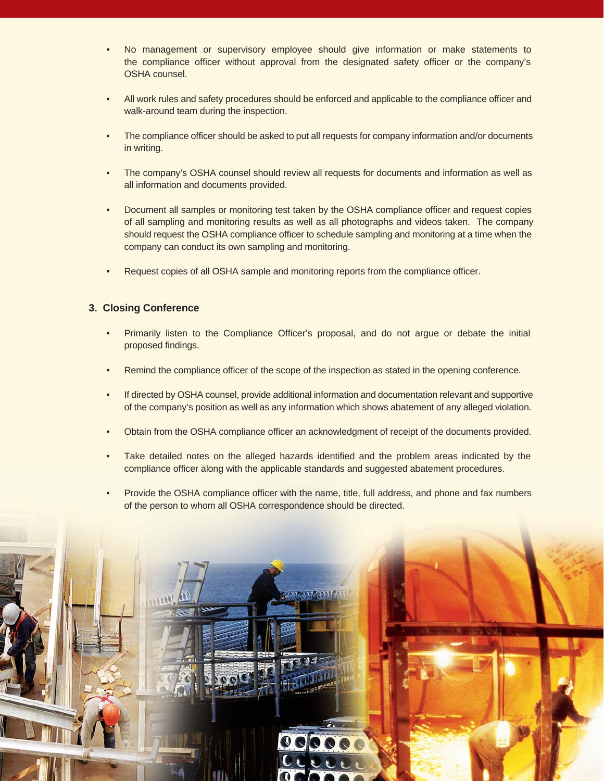- No management or supervisory employee should give information or make statements to the compliance officer without approval from the designated safety officer or the company's OSHA counsel.
- All work rules and safety procedures should be enforced and applicable to the compliance officer and walk-around team during the inspection.
- The compliance officer should be asked to put all requests for company information and/or documents  $\bullet$ in writing.
- The company's OSHA counsel should review all requests for documents and information as well as  $\bullet$ all information and documents provided.
- $\bullet$ Document all samples or monitoring test taken by the OSHA compliance officer and request copies of all sampling and monitoring results as well as all photographs and videos taken. The company should request the OSHA compliance officer to schedule sampling and monitoring at a time when the company can conduct its own sampling and monitoring.
- Request copies of all OSHA sample and monitoring reports from the compliance officer.

#### 3. Closing Conference

- Primarily listen to the Compliance Officer's proposal, and do not argue or debate the initial proposed findings.
- Remind the compliance officer of the scope of the inspection as stated in the opening conference.  $\bullet$
- $\bullet$ If directed by OSHA counsel, provide additional information and documentation relevant and supportive of the company's position as well as any information which shows abatement of any alleged violation.
- $\bullet$ Obtain from the OSHA compliance officer an acknowledgment of receipt of the documents provided.
- Take detailed notes on the alleged hazards identified and the problem areas indicated by the compliance officer along with the applicable standards and suggested abatement procedures.
- Provide the OSHA compliance officer with the name, title, full address, and phone and fax numbers of the person to whom all OSHA correspondence should be directed.